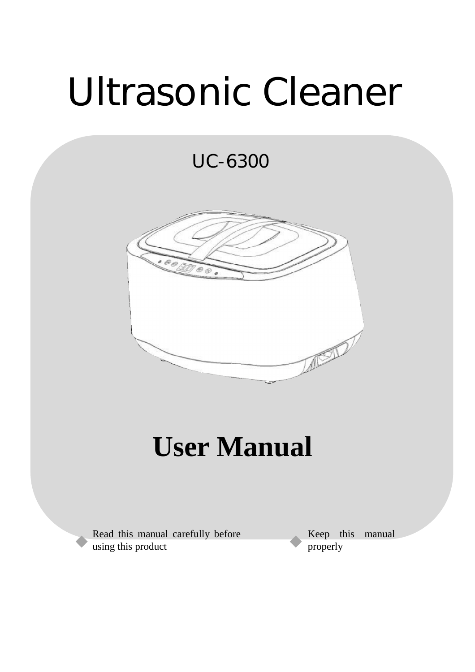# Ultrasonic Cleaner

UC-6300



### **User Manual**

Read this manual carefully before using this product

Keep this manual properly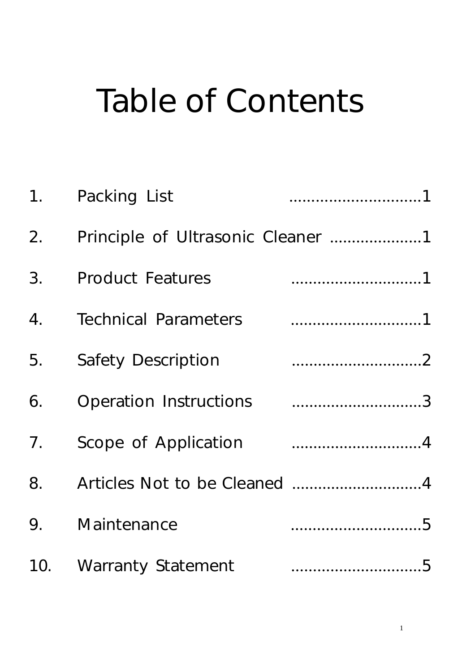## Table of Contents

| 1. | Packing List                      |  |
|----|-----------------------------------|--|
| 2. | Principle of Ultrasonic Cleaner 1 |  |
| 3. | <b>Product Features</b>           |  |
| 4. | <b>Technical Parameters</b>       |  |
| 5. | <b>Safety Description</b>         |  |
| 6. | Operation Instructions 3          |  |
| 7. |                                   |  |
| 8. |                                   |  |
| 9. | Maintenance                       |  |
|    | 10. Warranty Statement            |  |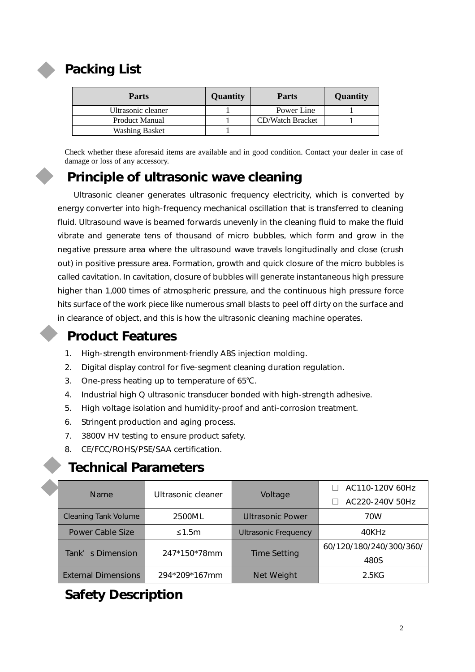

#### **Packing List**

| <b>Parts</b>          | Quantity | <b>Parts</b>            | Quantity |
|-----------------------|----------|-------------------------|----------|
| Ultrasonic cleaner    |          | Power Line              |          |
| <b>Product Manual</b> |          | <b>CD/Watch Bracket</b> |          |
| <b>Washing Basket</b> |          |                         |          |

Check whether these aforesaid items are available and in good condition. Contact your dealer in case of damage or loss of any accessory.

#### **Principle of ultrasonic wave cleaning**

Ultrasonic cleaner generates ultrasonic frequency electricity, which is converted by energy converter into high-frequency mechanical oscillation that is transferred to cleaning fluid. Ultrasound wave is beamed forwards unevenly in the cleaning fluid to make the fluid vibrate and generate tens of thousand of micro bubbles, which form and grow in the negative pressure area where the ultrasound wave travels longitudinally and close (crush out) in positive pressure area. Formation, growth and quick closure of the micro bubbles is called cavitation. In cavitation, closure of bubbles will generate instantaneous high pressure higher than 1,000 times of atmospheric pressure, and the continuous high pressure force hits surface of the work piece like numerous small blasts to peel off dirty on the surface and in clearance of object, and this is how the ultrasonic cleaning machine operates.

#### **Product Features**

- 1. High-strength environment-friendly ABS injection molding.
- 2. Digital display control for five-segment cleaning duration regulation.
- 3. One-press heating up to temperature of 65℃.
- 4. Industrial high Q ultrasonic transducer bonded with high-strength adhesive.
- 5. High voltage isolation and humidity-proof and anti-corrosion treatment.
- 6. Stringent production and aging process.
- 7. 3800V HV testing to ensure product safety.
- 8. CE/FCC/ROHS/PSE/SAA certification.

#### **Technical Parameters**

| <b>Name</b>      |                             | Ultrasonic cleaner |                             | AC110-120V 60Hz |
|------------------|-----------------------------|--------------------|-----------------------------|-----------------|
|                  |                             | Voltage            | AC220-240V 50Hz             |                 |
|                  | <b>Cleaning Tank Volume</b> | 2500ML             | <b>Ultrasonic Power</b>     | 70W             |
|                  | <b>Power Cable Size</b>     | $\leq 1.5$ m       | <b>Ultrasonic Frequency</b> | 40KHz           |
| Tank's Dimension | 247*150*78mm                |                    | 60/120/180/240/300/360/     |                 |
|                  |                             |                    | <b>Time Setting</b>         | 480S            |
|                  | <b>External Dimensions</b>  | 294*209*167mm      | <b>Net Weight</b>           | 2.5KG           |

#### **Safety Description**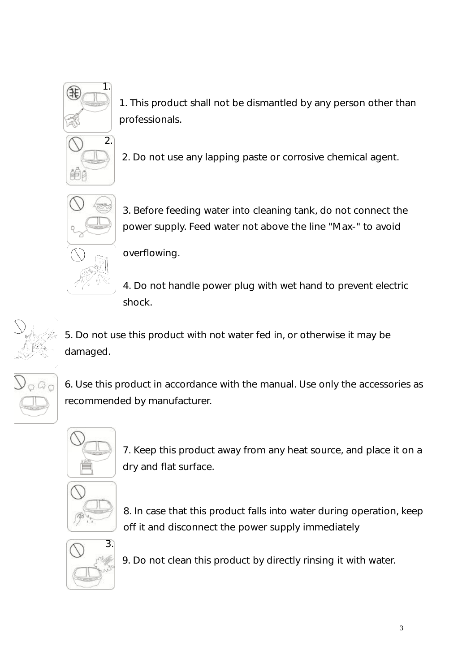

1. This product shall not be dismantled by any person other than professionals.



2. Do not use any lapping paste or corrosive chemical agent.



3. Before feeding water into cleaning tank, do not connect the power supply. Feed water not above the line "Max-" to avoid

overflowing.

4. Do not handle power plug with wet hand to prevent electric shock.

5. Do not use this product with not water fed in, or otherwise it may be damaged.

6. Use this product in accordance with the manual. Use only the accessories as recommended by manufacturer.



7. Keep this product away from any heat source, and place it on a dry and flat surface.



8. In case that this product falls into water during operation, keep off it and disconnect the power supply immediately



9. Do not clean this product by directly rinsing it with water.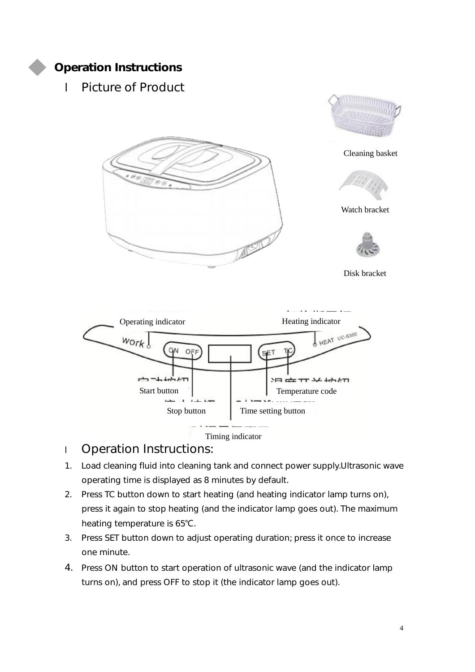

#### **Operation Instructions**

l Picture of Product





#### l Operation Instructions:

- 1. Load cleaning fluid into cleaning tank and connect power supply.Ultrasonic wave operating time is displayed as 8 minutes by default.
- 2. Press TC button down to start heating (and heating indicator lamp turns on), press it again to stop heating (and the indicator lamp goes out). The maximum heating temperature is 65℃.
- 3. Press SET button down to adjust operating duration; press it once to increase one minute.
- 4. Press ON button to start operation of ultrasonic wave (and the indicator lamp turns on), and press OFF to stop it (the indicator lamp goes out).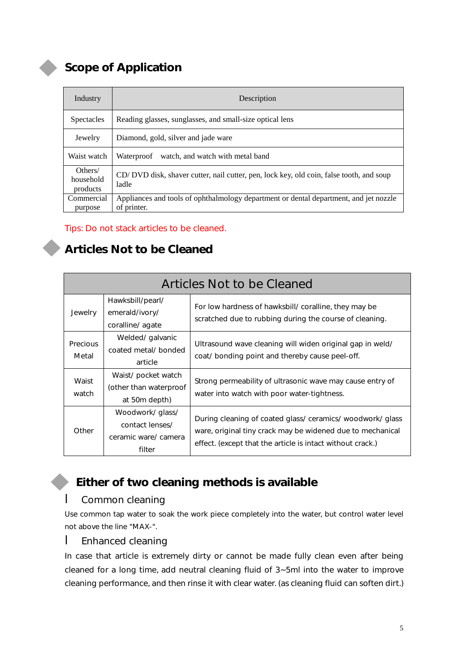#### **Scope of Application**

| Industry                         | Description                                                                                          |
|----------------------------------|------------------------------------------------------------------------------------------------------|
| <b>Spectacles</b>                | Reading glasses, sunglasses, and small-size optical lens                                             |
| Jewelry                          | Diamond, gold, silver and jade ware                                                                  |
| Waist watch                      | watch, and watch with metal band<br>Waterproof                                                       |
| Others/<br>household<br>products | CD/DVD disk, shaver cutter, nail cutter, pen, lock key, old coin, false tooth, and soup<br>ladle     |
| Commercial<br>purpose            | Appliances and tools of ophthalmology department or dental department, and jet nozzle<br>of printer. |

#### Tips: Do not stack articles to be cleaned.

#### **Articles Not to be Cleaned**

| <b>Articles Not to be Cleaned</b> |                                                                      |                                                                                                                                                                                     |  |
|-----------------------------------|----------------------------------------------------------------------|-------------------------------------------------------------------------------------------------------------------------------------------------------------------------------------|--|
| Jewelry                           | Hawksbill/pearl/<br>emerald/ivory/<br>coralline/agate                | For low hardness of hawksbill/ coralline, they may be<br>scratched due to rubbing during the course of cleaning.                                                                    |  |
| <b>Precious</b><br>Metal          | Welded/ galvanic<br>coated metal/bonded<br>article                   | Ultrasound wave cleaning will widen original gap in weld/<br>coat/ bonding point and thereby cause peel-off.                                                                        |  |
| Waist<br>watch                    | Waist/ pocket watch<br>(other than waterproof<br>at 50m depth)       | Strong permeability of ultrasonic wave may cause entry of<br>water into watch with poor water-tightness.                                                                            |  |
| Other                             | Woodwork/ glass/<br>contact lenses/<br>ceramic ware/camera<br>filter | During cleaning of coated glass/ceramics/woodwork/glass<br>ware, original tiny crack may be widened due to mechanical<br>effect. (except that the article is intact without crack.) |  |

#### **Either of two cleaning methods is available**

#### l Common cleaning

Use common tap water to soak the work piece completely into the water, but control water level not above the line "MAX-".

#### **l** Enhanced cleaning

In case that article is extremely dirty or cannot be made fully clean even after being cleaned for a long time, add neutral cleaning fluid of 3~5ml into the water to improve cleaning performance, and then rinse it with clear water. (as cleaning fluid can soften dirt.)